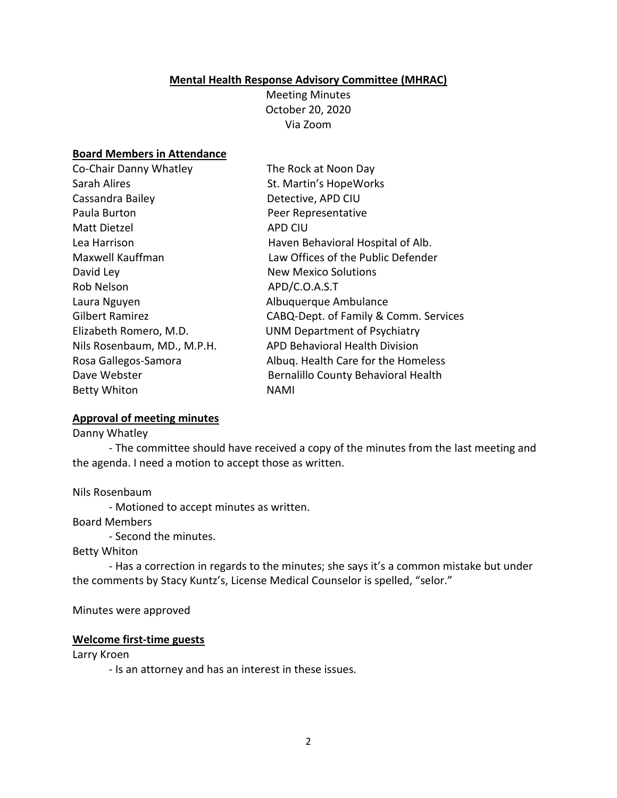#### **Mental Health Response Advisory Committee (MHRAC)**

Meeting Minutes October 20, 2020 Via Zoom

### **Board Members in Attendance**

| The Rock at Noon Day                  |
|---------------------------------------|
| St. Martin's HopeWorks                |
| Detective, APD CIU                    |
| Peer Representative                   |
| <b>APD CIU</b>                        |
| Haven Behavioral Hospital of Alb.     |
| Law Offices of the Public Defender    |
| <b>New Mexico Solutions</b>           |
| APD/C.O.A.S.T                         |
| Albuquerque Ambulance                 |
| CABQ-Dept. of Family & Comm. Services |
| <b>UNM Department of Psychiatry</b>   |
| <b>APD Behavioral Health Division</b> |
| Albuq. Health Care for the Homeless   |
| Bernalillo County Behavioral Health   |
| <b>NAMI</b>                           |
|                                       |

#### **Approval of meeting minutes**

Danny Whatley

- The committee should have received a copy of the minutes from the last meeting and the agenda. I need a motion to accept those as written.

#### Nils Rosenbaum

- Motioned to accept minutes as written.

Board Members

- Second the minutes.

### Betty Whiton

- Has a correction in regards to the minutes; she says it's a common mistake but under the comments by Stacy Kuntz's, License Medical Counselor is spelled, "selor."

Minutes were approved

#### **Welcome first-time guests**

Larry Kroen

- Is an attorney and has an interest in these issues.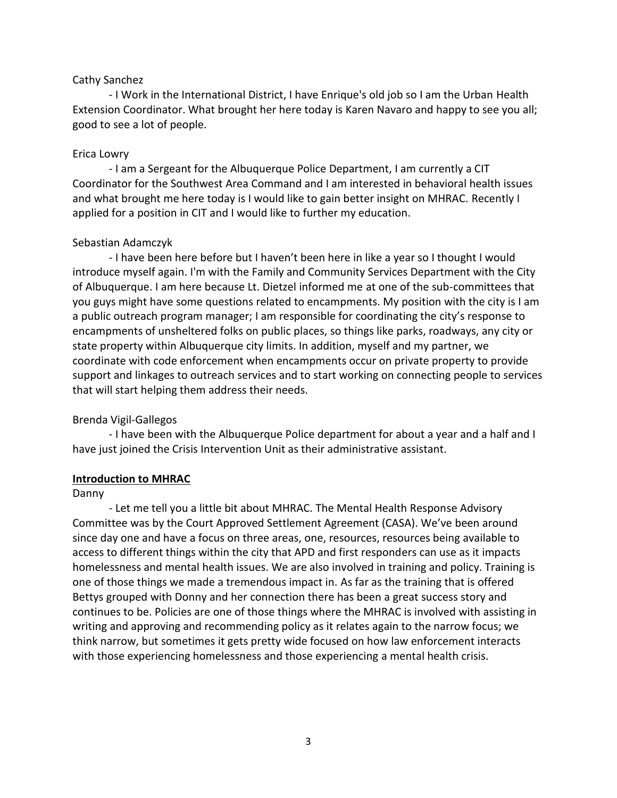### Cathy Sanchez

- I Work in the International District, I have Enrique's old job so I am the Urban Health Extension Coordinator. What brought her here today is Karen Navaro and happy to see you all; good to see a lot of people.

### Erica Lowry

- I am a Sergeant for the Albuquerque Police Department, I am currently a CIT Coordinator for the Southwest Area Command and I am interested in behavioral health issues and what brought me here today is I would like to gain better insight on MHRAC. Recently I applied for a position in CIT and I would like to further my education.

## Sebastian Adamczyk

- I have been here before but I haven't been here in like a year so I thought I would introduce myself again. I'm with the Family and Community Services Department with the City of Albuquerque. I am here because Lt. Dietzel informed me at one of the sub-committees that you guys might have some questions related to encampments. My position with the city is I am a public outreach program manager; I am responsible for coordinating the city's response to encampments of unsheltered folks on public places, so things like parks, roadways, any city or state property within Albuquerque city limits. In addition, myself and my partner, we coordinate with code enforcement when encampments occur on private property to provide support and linkages to outreach services and to start working on connecting people to services that will start helping them address their needs.

## Brenda Vigil-Gallegos

- I have been with the Albuquerque Police department for about a year and a half and I have just joined the Crisis Intervention Unit as their administrative assistant.

## **Introduction to MHRAC**

### Danny

- Let me tell you a little bit about MHRAC. The Mental Health Response Advisory Committee was by the Court Approved Settlement Agreement (CASA). We've been around since day one and have a focus on three areas, one, resources, resources being available to access to different things within the city that APD and first responders can use as it impacts homelessness and mental health issues. We are also involved in training and policy. Training is one of those things we made a tremendous impact in. As far as the training that is offered Bettys grouped with Donny and her connection there has been a great success story and continues to be. Policies are one of those things where the MHRAC is involved with assisting in writing and approving and recommending policy as it relates again to the narrow focus; we think narrow, but sometimes it gets pretty wide focused on how law enforcement interacts with those experiencing homelessness and those experiencing a mental health crisis.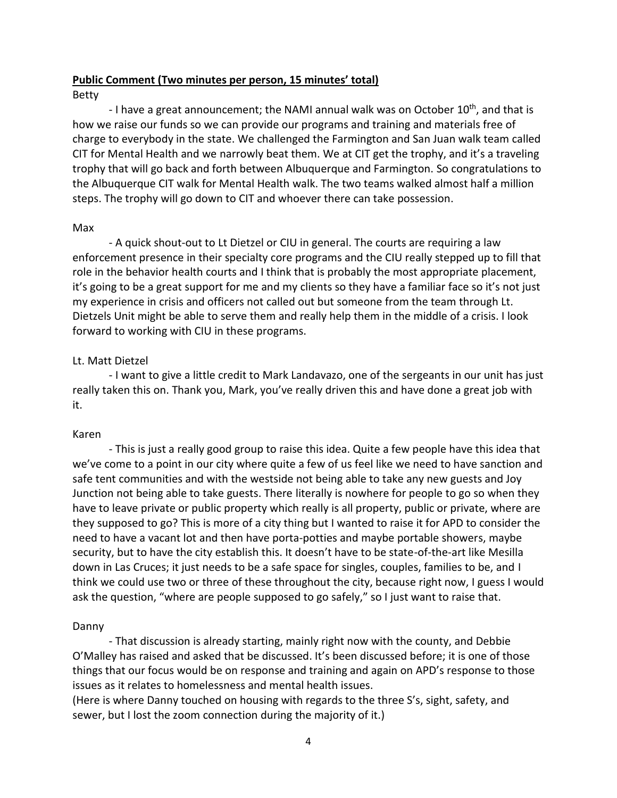### **Public Comment (Two minutes per person, 15 minutes' total)**

### Betty

- I have a great announcement; the NAMI annual walk was on October  $10^{th}$ , and that is how we raise our funds so we can provide our programs and training and materials free of charge to everybody in the state. We challenged the Farmington and San Juan walk team called CIT for Mental Health and we narrowly beat them. We at CIT get the trophy, and it's a traveling trophy that will go back and forth between Albuquerque and Farmington. So congratulations to the Albuquerque CIT walk for Mental Health walk. The two teams walked almost half a million steps. The trophy will go down to CIT and whoever there can take possession.

### Max

- A quick shout-out to Lt Dietzel or CIU in general. The courts are requiring a law enforcement presence in their specialty core programs and the CIU really stepped up to fill that role in the behavior health courts and I think that is probably the most appropriate placement, it's going to be a great support for me and my clients so they have a familiar face so it's not just my experience in crisis and officers not called out but someone from the team through Lt. Dietzels Unit might be able to serve them and really help them in the middle of a crisis. I look forward to working with CIU in these programs.

## Lt. Matt Dietzel

- I want to give a little credit to Mark Landavazo, one of the sergeants in our unit has just really taken this on. Thank you, Mark, you've really driven this and have done a great job with it.

## Karen

- This is just a really good group to raise this idea. Quite a few people have this idea that we've come to a point in our city where quite a few of us feel like we need to have sanction and safe tent communities and with the westside not being able to take any new guests and Joy Junction not being able to take guests. There literally is nowhere for people to go so when they have to leave private or public property which really is all property, public or private, where are they supposed to go? This is more of a city thing but I wanted to raise it for APD to consider the need to have a vacant lot and then have porta-potties and maybe portable showers, maybe security, but to have the city establish this. It doesn't have to be state-of-the-art like Mesilla down in Las Cruces; it just needs to be a safe space for singles, couples, families to be, and I think we could use two or three of these throughout the city, because right now, I guess I would ask the question, "where are people supposed to go safely," so I just want to raise that.

## Danny

- That discussion is already starting, mainly right now with the county, and Debbie O'Malley has raised and asked that be discussed. It's been discussed before; it is one of those things that our focus would be on response and training and again on APD's response to those issues as it relates to homelessness and mental health issues.

(Here is where Danny touched on housing with regards to the three S's, sight, safety, and sewer, but I lost the zoom connection during the majority of it.)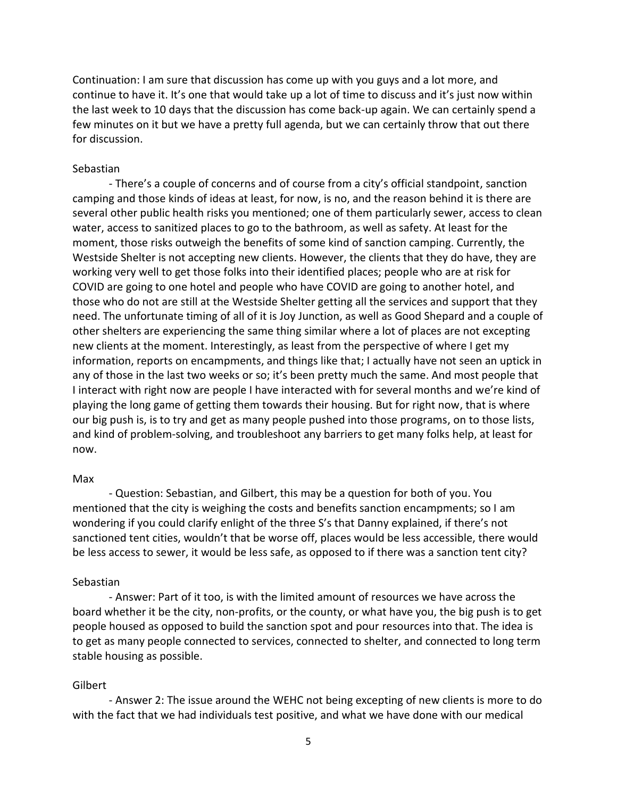Continuation: I am sure that discussion has come up with you guys and a lot more, and continue to have it. It's one that would take up a lot of time to discuss and it's just now within the last week to 10 days that the discussion has come back-up again. We can certainly spend a few minutes on it but we have a pretty full agenda, but we can certainly throw that out there for discussion.

### Sebastian

- There's a couple of concerns and of course from a city's official standpoint, sanction camping and those kinds of ideas at least, for now, is no, and the reason behind it is there are several other public health risks you mentioned; one of them particularly sewer, access to clean water, access to sanitized places to go to the bathroom, as well as safety. At least for the moment, those risks outweigh the benefits of some kind of sanction camping. Currently, the Westside Shelter is not accepting new clients. However, the clients that they do have, they are working very well to get those folks into their identified places; people who are at risk for COVID are going to one hotel and people who have COVID are going to another hotel, and those who do not are still at the Westside Shelter getting all the services and support that they need. The unfortunate timing of all of it is Joy Junction, as well as Good Shepard and a couple of other shelters are experiencing the same thing similar where a lot of places are not excepting new clients at the moment. Interestingly, as least from the perspective of where I get my information, reports on encampments, and things like that; I actually have not seen an uptick in any of those in the last two weeks or so; it's been pretty much the same. And most people that I interact with right now are people I have interacted with for several months and we're kind of playing the long game of getting them towards their housing. But for right now, that is where our big push is, is to try and get as many people pushed into those programs, on to those lists, and kind of problem-solving, and troubleshoot any barriers to get many folks help, at least for now.

#### Max

- Question: Sebastian, and Gilbert, this may be a question for both of you. You mentioned that the city is weighing the costs and benefits sanction encampments; so I am wondering if you could clarify enlight of the three S's that Danny explained, if there's not sanctioned tent cities, wouldn't that be worse off, places would be less accessible, there would be less access to sewer, it would be less safe, as opposed to if there was a sanction tent city?

### Sebastian

- Answer: Part of it too, is with the limited amount of resources we have across the board whether it be the city, non-profits, or the county, or what have you, the big push is to get people housed as opposed to build the sanction spot and pour resources into that. The idea is to get as many people connected to services, connected to shelter, and connected to long term stable housing as possible.

### **Gilbert**

- Answer 2: The issue around the WEHC not being excepting of new clients is more to do with the fact that we had individuals test positive, and what we have done with our medical

5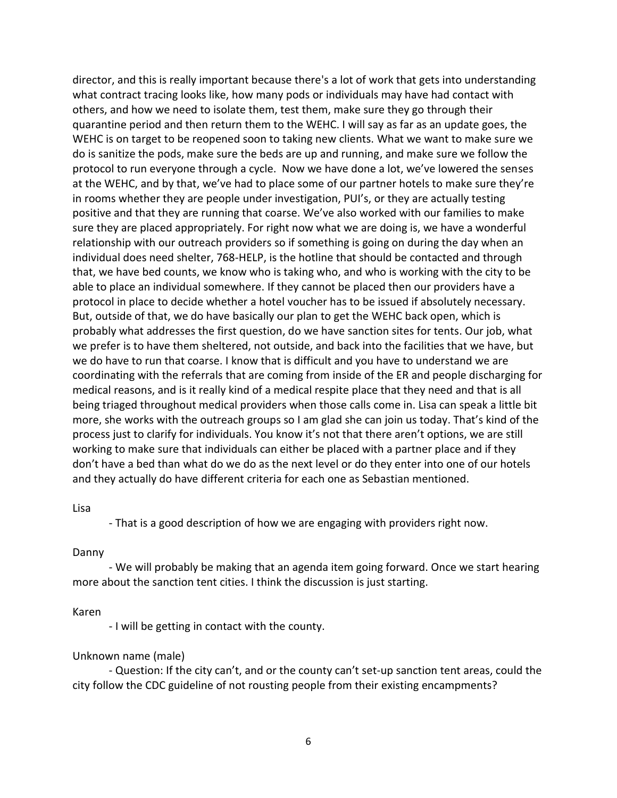director, and this is really important because there's a lot of work that gets into understanding what contract tracing looks like, how many pods or individuals may have had contact with others, and how we need to isolate them, test them, make sure they go through their quarantine period and then return them to the WEHC. I will say as far as an update goes, the WEHC is on target to be reopened soon to taking new clients. What we want to make sure we do is sanitize the pods, make sure the beds are up and running, and make sure we follow the protocol to run everyone through a cycle. Now we have done a lot, we've lowered the senses at the WEHC, and by that, we've had to place some of our partner hotels to make sure they're in rooms whether they are people under investigation, PUI's, or they are actually testing positive and that they are running that coarse. We've also worked with our families to make sure they are placed appropriately. For right now what we are doing is, we have a wonderful relationship with our outreach providers so if something is going on during the day when an individual does need shelter, 768-HELP, is the hotline that should be contacted and through that, we have bed counts, we know who is taking who, and who is working with the city to be able to place an individual somewhere. If they cannot be placed then our providers have a protocol in place to decide whether a hotel voucher has to be issued if absolutely necessary. But, outside of that, we do have basically our plan to get the WEHC back open, which is probably what addresses the first question, do we have sanction sites for tents. Our job, what we prefer is to have them sheltered, not outside, and back into the facilities that we have, but we do have to run that coarse. I know that is difficult and you have to understand we are coordinating with the referrals that are coming from inside of the ER and people discharging for medical reasons, and is it really kind of a medical respite place that they need and that is all being triaged throughout medical providers when those calls come in. Lisa can speak a little bit more, she works with the outreach groups so I am glad she can join us today. That's kind of the process just to clarify for individuals. You know it's not that there aren't options, we are still working to make sure that individuals can either be placed with a partner place and if they don't have a bed than what do we do as the next level or do they enter into one of our hotels and they actually do have different criteria for each one as Sebastian mentioned.

#### Lisa

- That is a good description of how we are engaging with providers right now.

#### Danny

- We will probably be making that an agenda item going forward. Once we start hearing more about the sanction tent cities. I think the discussion is just starting.

#### Karen

- I will be getting in contact with the county.

#### Unknown name (male)

- Question: If the city can't, and or the county can't set-up sanction tent areas, could the city follow the CDC guideline of not rousting people from their existing encampments?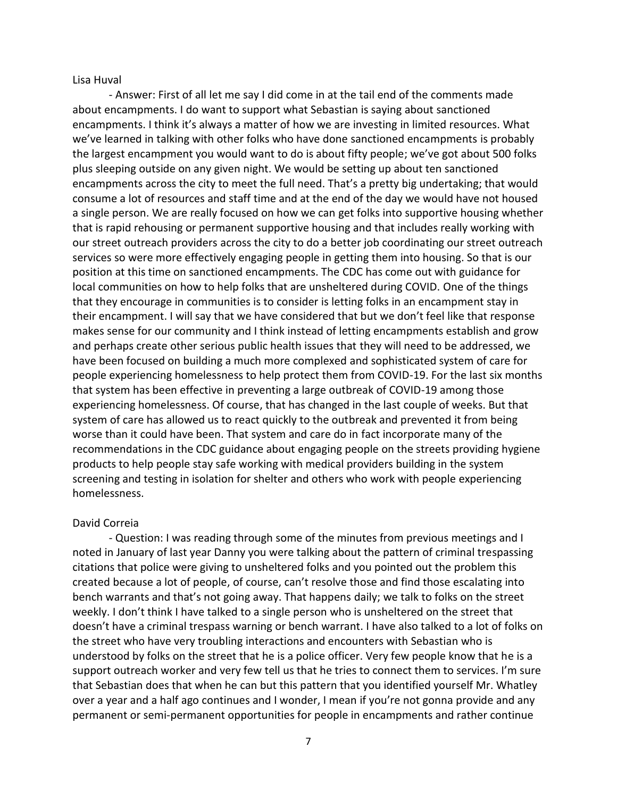Lisa Huval

- Answer: First of all let me say I did come in at the tail end of the comments made about encampments. I do want to support what Sebastian is saying about sanctioned encampments. I think it's always a matter of how we are investing in limited resources. What we've learned in talking with other folks who have done sanctioned encampments is probably the largest encampment you would want to do is about fifty people; we've got about 500 folks plus sleeping outside on any given night. We would be setting up about ten sanctioned encampments across the city to meet the full need. That's a pretty big undertaking; that would consume a lot of resources and staff time and at the end of the day we would have not housed a single person. We are really focused on how we can get folks into supportive housing whether that is rapid rehousing or permanent supportive housing and that includes really working with our street outreach providers across the city to do a better job coordinating our street outreach services so were more effectively engaging people in getting them into housing. So that is our position at this time on sanctioned encampments. The CDC has come out with guidance for local communities on how to help folks that are unsheltered during COVID. One of the things that they encourage in communities is to consider is letting folks in an encampment stay in their encampment. I will say that we have considered that but we don't feel like that response makes sense for our community and I think instead of letting encampments establish and grow and perhaps create other serious public health issues that they will need to be addressed, we have been focused on building a much more complexed and sophisticated system of care for people experiencing homelessness to help protect them from COVID-19. For the last six months that system has been effective in preventing a large outbreak of COVID-19 among those experiencing homelessness. Of course, that has changed in the last couple of weeks. But that system of care has allowed us to react quickly to the outbreak and prevented it from being worse than it could have been. That system and care do in fact incorporate many of the recommendations in the CDC guidance about engaging people on the streets providing hygiene products to help people stay safe working with medical providers building in the system screening and testing in isolation for shelter and others who work with people experiencing homelessness.

#### David Correia

- Question: I was reading through some of the minutes from previous meetings and I noted in January of last year Danny you were talking about the pattern of criminal trespassing citations that police were giving to unsheltered folks and you pointed out the problem this created because a lot of people, of course, can't resolve those and find those escalating into bench warrants and that's not going away. That happens daily; we talk to folks on the street weekly. I don't think I have talked to a single person who is unsheltered on the street that doesn't have a criminal trespass warning or bench warrant. I have also talked to a lot of folks on the street who have very troubling interactions and encounters with Sebastian who is understood by folks on the street that he is a police officer. Very few people know that he is a support outreach worker and very few tell us that he tries to connect them to services. I'm sure that Sebastian does that when he can but this pattern that you identified yourself Mr. Whatley over a year and a half ago continues and I wonder, I mean if you're not gonna provide and any permanent or semi-permanent opportunities for people in encampments and rather continue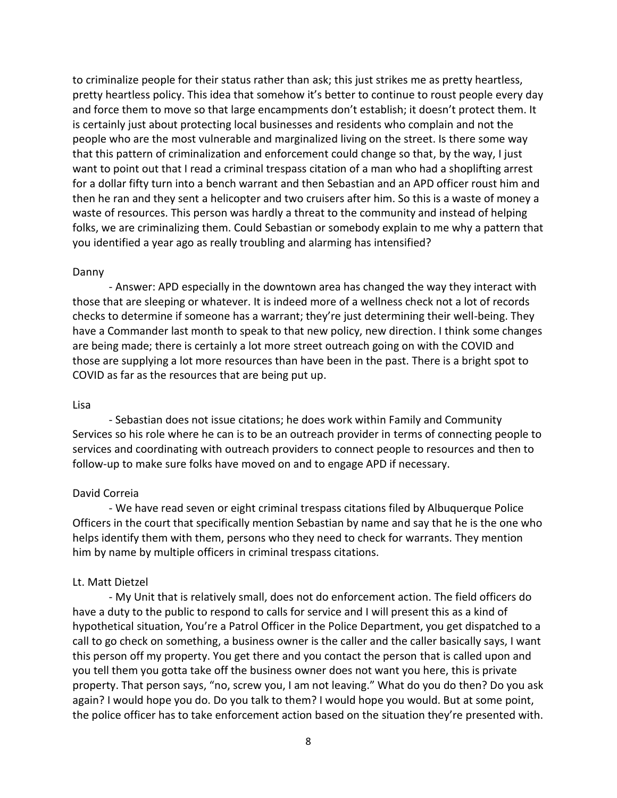to criminalize people for their status rather than ask; this just strikes me as pretty heartless, pretty heartless policy. This idea that somehow it's better to continue to roust people every day and force them to move so that large encampments don't establish; it doesn't protect them. It is certainly just about protecting local businesses and residents who complain and not the people who are the most vulnerable and marginalized living on the street. Is there some way that this pattern of criminalization and enforcement could change so that, by the way, I just want to point out that I read a criminal trespass citation of a man who had a shoplifting arrest for a dollar fifty turn into a bench warrant and then Sebastian and an APD officer roust him and then he ran and they sent a helicopter and two cruisers after him. So this is a waste of money a waste of resources. This person was hardly a threat to the community and instead of helping folks, we are criminalizing them. Could Sebastian or somebody explain to me why a pattern that you identified a year ago as really troubling and alarming has intensified?

#### Danny

- Answer: APD especially in the downtown area has changed the way they interact with those that are sleeping or whatever. It is indeed more of a wellness check not a lot of records checks to determine if someone has a warrant; they're just determining their well-being. They have a Commander last month to speak to that new policy, new direction. I think some changes are being made; there is certainly a lot more street outreach going on with the COVID and those are supplying a lot more resources than have been in the past. There is a bright spot to COVID as far as the resources that are being put up.

#### Lisa

- Sebastian does not issue citations; he does work within Family and Community Services so his role where he can is to be an outreach provider in terms of connecting people to services and coordinating with outreach providers to connect people to resources and then to follow-up to make sure folks have moved on and to engage APD if necessary.

#### David Correia

- We have read seven or eight criminal trespass citations filed by Albuquerque Police Officers in the court that specifically mention Sebastian by name and say that he is the one who helps identify them with them, persons who they need to check for warrants. They mention him by name by multiple officers in criminal trespass citations.

### Lt. Matt Dietzel

- My Unit that is relatively small, does not do enforcement action. The field officers do have a duty to the public to respond to calls for service and I will present this as a kind of hypothetical situation, You're a Patrol Officer in the Police Department, you get dispatched to a call to go check on something, a business owner is the caller and the caller basically says, I want this person off my property. You get there and you contact the person that is called upon and you tell them you gotta take off the business owner does not want you here, this is private property. That person says, "no, screw you, I am not leaving." What do you do then? Do you ask again? I would hope you do. Do you talk to them? I would hope you would. But at some point, the police officer has to take enforcement action based on the situation they're presented with.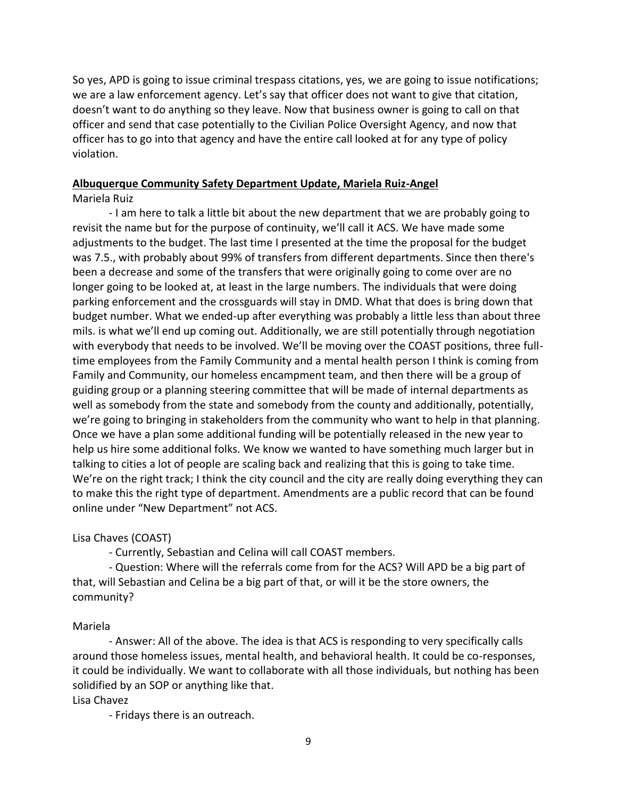So yes, APD is going to issue criminal trespass citations, yes, we are going to issue notifications; we are a law enforcement agency. Let's say that officer does not want to give that citation, doesn't want to do anything so they leave. Now that business owner is going to call on that officer and send that case potentially to the Civilian Police Oversight Agency, and now that officer has to go into that agency and have the entire call looked at for any type of policy violation.

## **Albuquerque Community Safety Department Update, Mariela Ruiz-Angel**

Mariela Ruiz

- I am here to talk a little bit about the new department that we are probably going to revisit the name but for the purpose of continuity, we'll call it ACS. We have made some adjustments to the budget. The last time I presented at the time the proposal for the budget was 7.5., with probably about 99% of transfers from different departments. Since then there's been a decrease and some of the transfers that were originally going to come over are no longer going to be looked at, at least in the large numbers. The individuals that were doing parking enforcement and the crossguards will stay in DMD. What that does is bring down that budget number. What we ended-up after everything was probably a little less than about three mils. is what we'll end up coming out. Additionally, we are still potentially through negotiation with everybody that needs to be involved. We'll be moving over the COAST positions, three fulltime employees from the Family Community and a mental health person I think is coming from Family and Community, our homeless encampment team, and then there will be a group of guiding group or a planning steering committee that will be made of internal departments as well as somebody from the state and somebody from the county and additionally, potentially, we're going to bringing in stakeholders from the community who want to help in that planning. Once we have a plan some additional funding will be potentially released in the new year to help us hire some additional folks. We know we wanted to have something much larger but in talking to cities a lot of people are scaling back and realizing that this is going to take time. We're on the right track; I think the city council and the city are really doing everything they can to make this the right type of department. Amendments are a public record that can be found online under "New Department" not ACS.

Lisa Chaves (COAST)

- Currently, Sebastian and Celina will call COAST members.

- Question: Where will the referrals come from for the ACS? Will APD be a big part of that, will Sebastian and Celina be a big part of that, or will it be the store owners, the community?

# Mariela

- Answer: All of the above. The idea is that ACS is responding to very specifically calls around those homeless issues, mental health, and behavioral health. It could be co-responses, it could be individually. We want to collaborate with all those individuals, but nothing has been solidified by an SOP or anything like that.

Lisa Chavez

- Fridays there is an outreach.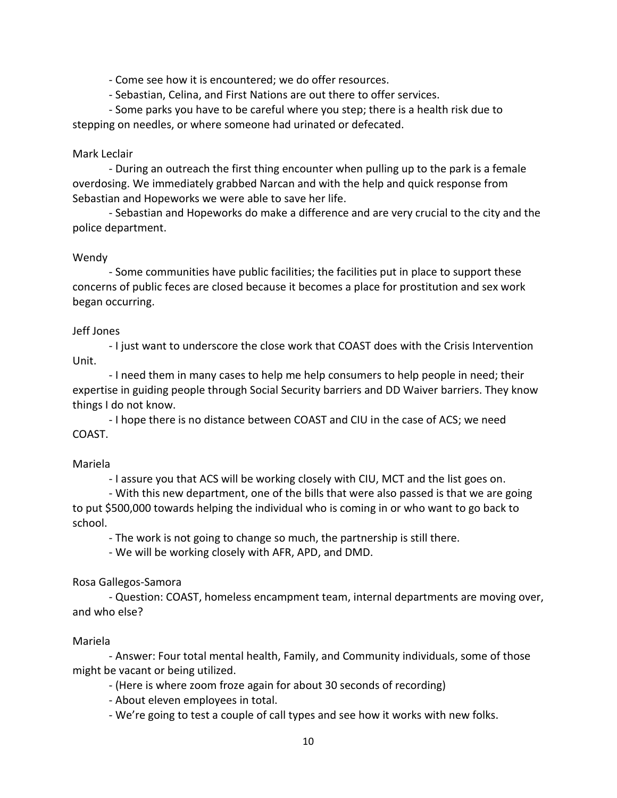- Come see how it is encountered; we do offer resources.

- Sebastian, Celina, and First Nations are out there to offer services.

- Some parks you have to be careful where you step; there is a health risk due to stepping on needles, or where someone had urinated or defecated.

### Mark Leclair

- During an outreach the first thing encounter when pulling up to the park is a female overdosing. We immediately grabbed Narcan and with the help and quick response from Sebastian and Hopeworks we were able to save her life.

- Sebastian and Hopeworks do make a difference and are very crucial to the city and the police department.

## Wendy

- Some communities have public facilities; the facilities put in place to support these concerns of public feces are closed because it becomes a place for prostitution and sex work began occurring.

### Jeff Jones

- I just want to underscore the close work that COAST does with the Crisis Intervention Unit.

- I need them in many cases to help me help consumers to help people in need; their expertise in guiding people through Social Security barriers and DD Waiver barriers. They know things I do not know.

- I hope there is no distance between COAST and CIU in the case of ACS; we need COAST.

## Mariela

- I assure you that ACS will be working closely with CIU, MCT and the list goes on.

- With this new department, one of the bills that were also passed is that we are going to put \$500,000 towards helping the individual who is coming in or who want to go back to school.

- The work is not going to change so much, the partnership is still there.

- We will be working closely with AFR, APD, and DMD.

Rosa Gallegos-Samora

- Question: COAST, homeless encampment team, internal departments are moving over, and who else?

## Mariela

- Answer: Four total mental health, Family, and Community individuals, some of those might be vacant or being utilized.

- (Here is where zoom froze again for about 30 seconds of recording)

- About eleven employees in total.

- We're going to test a couple of call types and see how it works with new folks.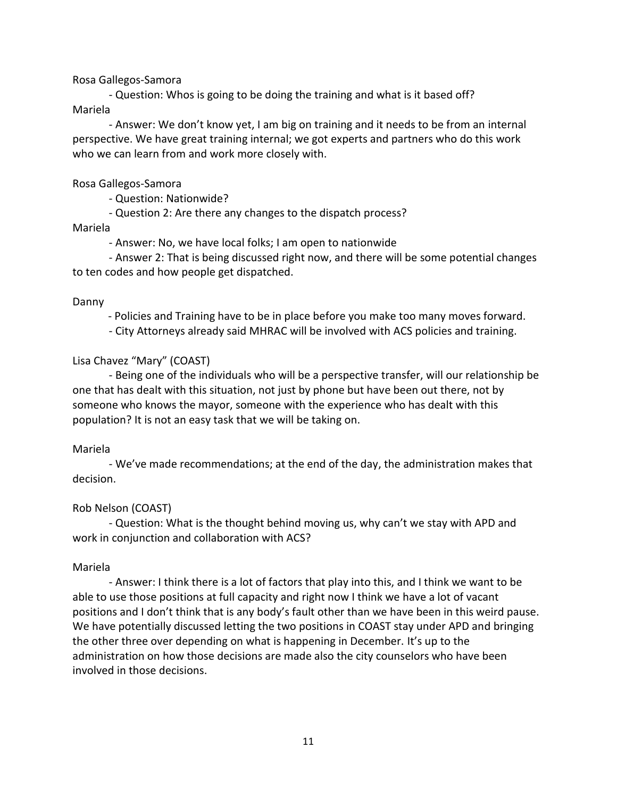Rosa Gallegos-Samora

- Question: Whos is going to be doing the training and what is it based off? Mariela

- Answer: We don't know yet, I am big on training and it needs to be from an internal perspective. We have great training internal; we got experts and partners who do this work who we can learn from and work more closely with.

Rosa Gallegos-Samora

- Question: Nationwide?

- Question 2: Are there any changes to the dispatch process?

Mariela

- Answer: No, we have local folks; I am open to nationwide

- Answer 2: That is being discussed right now, and there will be some potential changes to ten codes and how people get dispatched.

### Danny

- Policies and Training have to be in place before you make too many moves forward.

- City Attorneys already said MHRAC will be involved with ACS policies and training.

## Lisa Chavez "Mary" (COAST)

- Being one of the individuals who will be a perspective transfer, will our relationship be one that has dealt with this situation, not just by phone but have been out there, not by someone who knows the mayor, someone with the experience who has dealt with this population? It is not an easy task that we will be taking on.

### Mariela

- We've made recommendations; at the end of the day, the administration makes that decision.

## Rob Nelson (COAST)

- Question: What is the thought behind moving us, why can't we stay with APD and work in conjunction and collaboration with ACS?

### Mariela

- Answer: I think there is a lot of factors that play into this, and I think we want to be able to use those positions at full capacity and right now I think we have a lot of vacant positions and I don't think that is any body's fault other than we have been in this weird pause. We have potentially discussed letting the two positions in COAST stay under APD and bringing the other three over depending on what is happening in December. It's up to the administration on how those decisions are made also the city counselors who have been involved in those decisions.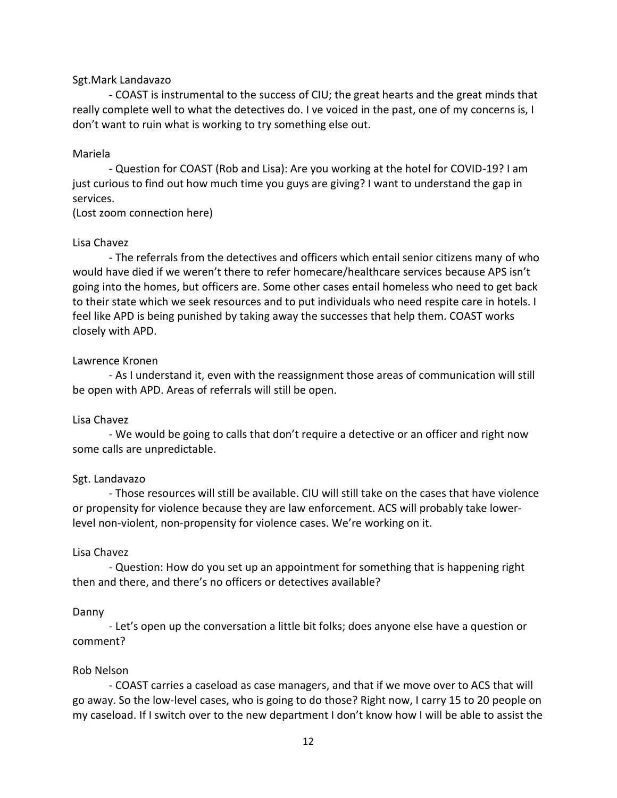### Sgt.Mark Landavazo

- COAST is instrumental to the success of CIU; the great hearts and the great minds that really complete well to what the detectives do. I ve voiced in the past, one of my concerns is, I don't want to ruin what is working to try something else out.

#### Mariela

- Question for COAST (Rob and Lisa): Are you working at the hotel for COVID-19? I am just curious to find out how much time you guys are giving? I want to understand the gap in services.

(Lost zoom connection here)

#### Lisa Chavez

- The referrals from the detectives and officers which entail senior citizens many of who would have died if we weren't there to refer homecare/healthcare services because APS isn't going into the homes, but officers are. Some other cases entail homeless who need to get back to their state which we seek resources and to put individuals who need respite care in hotels. I feel like APD is being punished by taking away the successes that help them. COAST works closely with APD.

#### Lawrence Kronen

- As I understand it, even with the reassignment those areas of communication will still be open with APD. Areas of referrals will still be open.

#### Lisa Chavez

- We would be going to calls that don't require a detective or an officer and right now some calls are unpredictable.

#### Sgt. Landavazo

- Those resources will still be available. CIU will still take on the cases that have violence or propensity for violence because they are law enforcement. ACS will probably take lowerlevel non-violent, non-propensity for violence cases. We're working on it.

#### Lisa Chavez

- Question: How do you set up an appointment for something that is happening right then and there, and there's no officers or detectives available?

#### Danny

- Let's open up the conversation a little bit folks; does anyone else have a question or comment?

### Rob Nelson

- COAST carries a caseload as case managers, and that if we move over to ACS that will go away. So the low-level cases, who is going to do those? Right now, I carry 15 to 20 people on my caseload. If I switch over to the new department I don't know how I will be able to assist the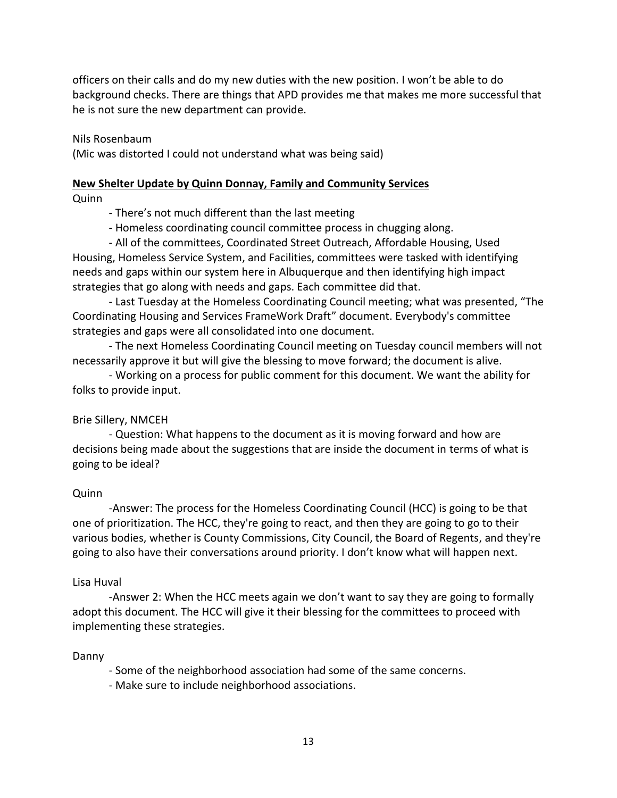officers on their calls and do my new duties with the new position. I won't be able to do background checks. There are things that APD provides me that makes me more successful that he is not sure the new department can provide.

Nils Rosenbaum

(Mic was distorted I could not understand what was being said)

# **New Shelter Update by Quinn Donnay, Family and Community Services**

Quinn

- There's not much different than the last meeting

- Homeless coordinating council committee process in chugging along.

- All of the committees, Coordinated Street Outreach, Affordable Housing, Used Housing, Homeless Service System, and Facilities, committees were tasked with identifying needs and gaps within our system here in Albuquerque and then identifying high impact strategies that go along with needs and gaps. Each committee did that.

- Last Tuesday at the Homeless Coordinating Council meeting; what was presented, "The Coordinating Housing and Services FrameWork Draft" document. Everybody's committee strategies and gaps were all consolidated into one document.

- The next Homeless Coordinating Council meeting on Tuesday council members will not necessarily approve it but will give the blessing to move forward; the document is alive.

- Working on a process for public comment for this document. We want the ability for folks to provide input.

# Brie Sillery, NMCEH

- Question: What happens to the document as it is moving forward and how are decisions being made about the suggestions that are inside the document in terms of what is going to be ideal?

# Quinn

-Answer: The process for the Homeless Coordinating Council (HCC) is going to be that one of prioritization. The HCC, they're going to react, and then they are going to go to their various bodies, whether is County Commissions, City Council, the Board of Regents, and they're going to also have their conversations around priority. I don't know what will happen next.

## Lisa Huval

-Answer 2: When the HCC meets again we don't want to say they are going to formally adopt this document. The HCC will give it their blessing for the committees to proceed with implementing these strategies.

## Danny

- Some of the neighborhood association had some of the same concerns.
- Make sure to include neighborhood associations.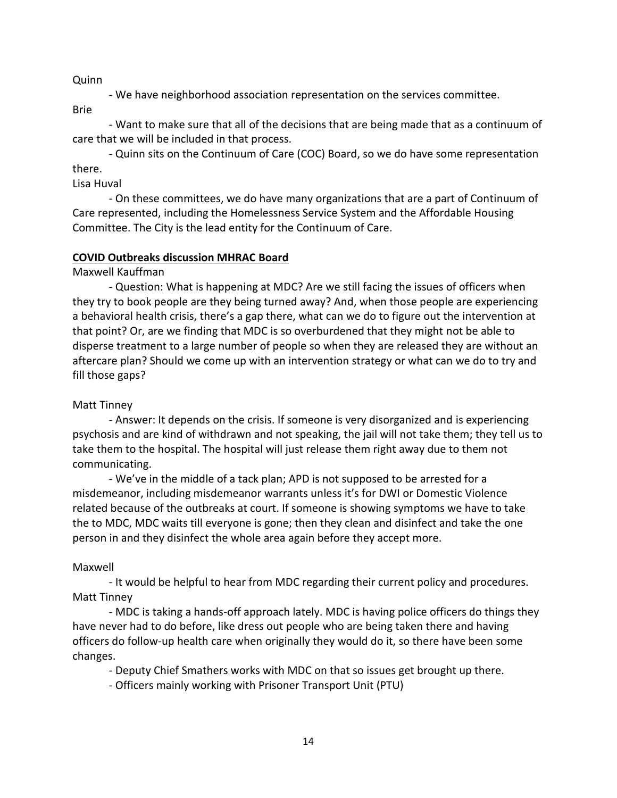### Quinn

- We have neighborhood association representation on the services committee.

Brie

- Want to make sure that all of the decisions that are being made that as a continuum of care that we will be included in that process.

- Quinn sits on the Continuum of Care (COC) Board, so we do have some representation there.

Lisa Huval

- On these committees, we do have many organizations that are a part of Continuum of Care represented, including the Homelessness Service System and the Affordable Housing Committee. The City is the lead entity for the Continuum of Care.

## **COVID Outbreaks discussion MHRAC Board**

Maxwell Kauffman

- Question: What is happening at MDC? Are we still facing the issues of officers when they try to book people are they being turned away? And, when those people are experiencing a behavioral health crisis, there's a gap there, what can we do to figure out the intervention at that point? Or, are we finding that MDC is so overburdened that they might not be able to disperse treatment to a large number of people so when they are released they are without an aftercare plan? Should we come up with an intervention strategy or what can we do to try and fill those gaps?

## Matt Tinney

- Answer: It depends on the crisis. If someone is very disorganized and is experiencing psychosis and are kind of withdrawn and not speaking, the jail will not take them; they tell us to take them to the hospital. The hospital will just release them right away due to them not communicating.

- We've in the middle of a tack plan; APD is not supposed to be arrested for a misdemeanor, including misdemeanor warrants unless it's for DWI or Domestic Violence related because of the outbreaks at court. If someone is showing symptoms we have to take the to MDC, MDC waits till everyone is gone; then they clean and disinfect and take the one person in and they disinfect the whole area again before they accept more.

## Maxwell

- It would be helpful to hear from MDC regarding their current policy and procedures. Matt Tinney

- MDC is taking a hands-off approach lately. MDC is having police officers do things they have never had to do before, like dress out people who are being taken there and having officers do follow-up health care when originally they would do it, so there have been some changes.

- Deputy Chief Smathers works with MDC on that so issues get brought up there.

- Officers mainly working with Prisoner Transport Unit (PTU)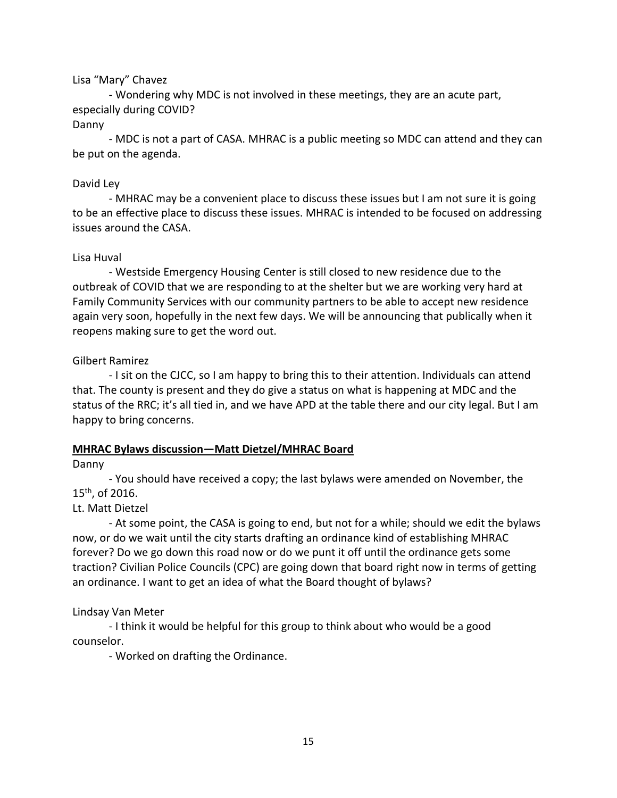## Lisa "Mary" Chavez

- Wondering why MDC is not involved in these meetings, they are an acute part, especially during COVID?

### Danny

- MDC is not a part of CASA. MHRAC is a public meeting so MDC can attend and they can be put on the agenda.

## David Ley

- MHRAC may be a convenient place to discuss these issues but I am not sure it is going to be an effective place to discuss these issues. MHRAC is intended to be focused on addressing issues around the CASA.

## Lisa Huval

- Westside Emergency Housing Center is still closed to new residence due to the outbreak of COVID that we are responding to at the shelter but we are working very hard at Family Community Services with our community partners to be able to accept new residence again very soon, hopefully in the next few days. We will be announcing that publically when it reopens making sure to get the word out.

## Gilbert Ramirez

- I sit on the CJCC, so I am happy to bring this to their attention. Individuals can attend that. The county is present and they do give a status on what is happening at MDC and the status of the RRC; it's all tied in, and we have APD at the table there and our city legal. But I am happy to bring concerns.

# **MHRAC Bylaws discussion—Matt Dietzel/MHRAC Board**

Danny

- You should have received a copy; the last bylaws were amended on November, the 15th, of 2016.

# Lt. Matt Dietzel

- At some point, the CASA is going to end, but not for a while; should we edit the bylaws now, or do we wait until the city starts drafting an ordinance kind of establishing MHRAC forever? Do we go down this road now or do we punt it off until the ordinance gets some traction? Civilian Police Councils (CPC) are going down that board right now in terms of getting an ordinance. I want to get an idea of what the Board thought of bylaws?

# Lindsay Van Meter

- I think it would be helpful for this group to think about who would be a good counselor.

- Worked on drafting the Ordinance.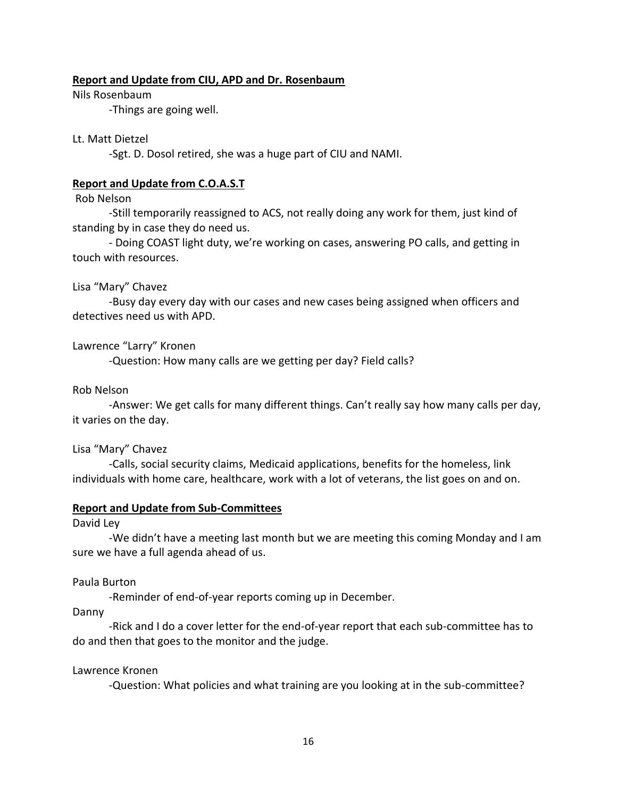### **Report and Update from CIU, APD and Dr. Rosenbaum**

Nils Rosenbaum

-Things are going well.

### Lt. Matt Dietzel

-Sgt. D. Dosol retired, she was a huge part of CIU and NAMI.

### **Report and Update from C.O.A.S.T**

### Rob Nelson

-Still temporarily reassigned to ACS, not really doing any work for them, just kind of standing by in case they do need us.

- Doing COAST light duty, we're working on cases, answering PO calls, and getting in touch with resources.

### Lisa "Mary" Chavez

-Busy day every day with our cases and new cases being assigned when officers and detectives need us with APD.

## Lawrence "Larry" Kronen

-Question: How many calls are we getting per day? Field calls?

### Rob Nelson

-Answer: We get calls for many different things. Can't really say how many calls per day, it varies on the day.

### Lisa "Mary" Chavez

-Calls, social security claims, Medicaid applications, benefits for the homeless, link individuals with home care, healthcare, work with a lot of veterans, the list goes on and on.

### **Report and Update from Sub-Committees**

David Ley

-We didn't have a meeting last month but we are meeting this coming Monday and I am sure we have a full agenda ahead of us.

## Paula Burton

-Reminder of end-of-year reports coming up in December.

Danny

-Rick and I do a cover letter for the end-of-year report that each sub-committee has to do and then that goes to the monitor and the judge.

## Lawrence Kronen

-Question: What policies and what training are you looking at in the sub-committee?